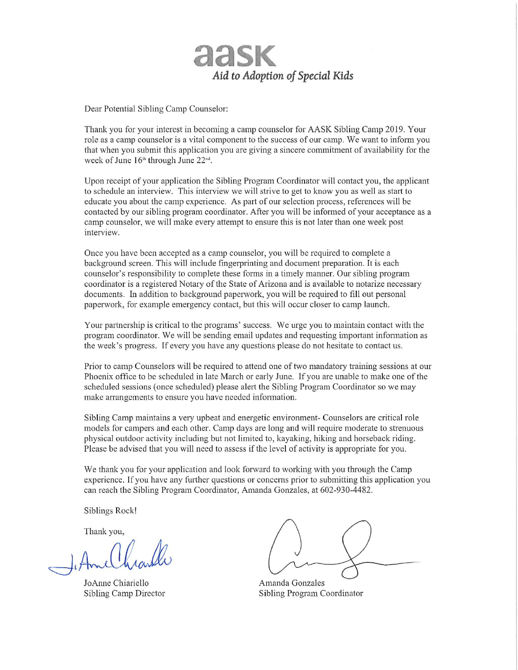

Dear Potential Sibling Camp Counselor:

Thank you for your interest in becoming a camp counselor for AASK Sibling Camp 2019. Your role as a camp counselor is a vital component to the success of our camp. We want to inform you that when you submit this application you are giving a sincere commitment of availability for the week of June 16<sup>th</sup> through June 22<sup>nd</sup>.

Upon receipt of your application the Sibling Program Coordinator will contact you, the applicant to schedule an interview. This interview we will strive to get to know you as well as start to educate you about the camp experience. As part of our selection process, references will be contacted by our sibling program coordinator. After you will be informed of your acceptance as a camp counselor, we will make every attempt to ensure this is not later than one week post interview.

Once you have been accepted as a camp counselor, you will be required to complete a background screen. This will include fingerprinting and document preparation. It is each counselor's responsibility to complete these forms in a timely manner. Our sibling program coordinator is a registered Notary of the State of Arizona and is available to notarize necessary documents. In addition to background paperwork, you will be required to fill out personal paperwork, for example emergency contact, but this will occur closer to camp launch.

Your partnership is critical to the programs' success. We urge you to maintain contact with the program coordinator. We will be sending email updates and requesting important information as the week's progress. If every you have any questions please do not hesitate to contact us.

Prior to camp Counselors will be required to attend one of two mandatory training sessions at our Phoenix office to be scheduled in late March or early June. If you are unable to make one of the scheduled sessions (once scheduled) please alert the Sibling Program Coordinator so we may make arrangements to ensure you have needed information.

Sibling Camp maintains a very upbeat and energetic environment- Counselors are critical role models for campers and each other. Camp days are long and will require moderate to strenuous physical outdoor activity including but not limited to, kayaking, hiking and horseback riding. Please be advised that you will need to assess if the level of activity is appropriate for you.

We thank you for your application and look forward to working with you through the Camp experience. If you have any further questions or concerns prior to submitting this application you can reach the Sibling Program Coordinator, Amanda Gonzales, at 602-930-4482.

Siblings Rock!

Thank you,

And Ver 1

JoAnne Chiariello Sibling Camp Director

Amanda Gonzales **Sibling Program Coordinator**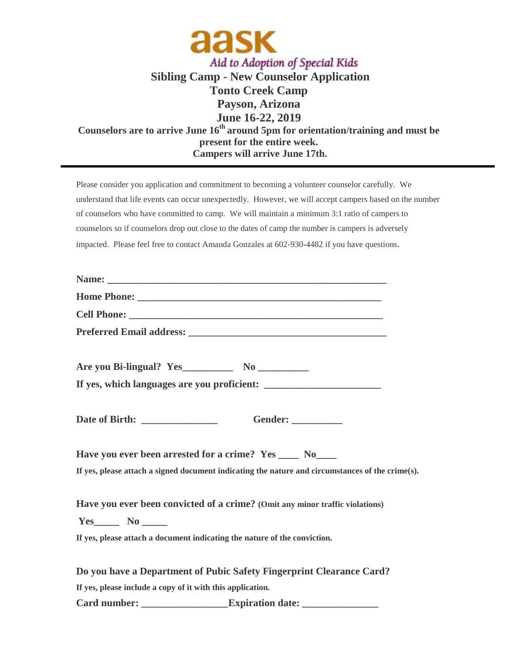

## **Sibling Camp - New Counselor Application Tonto Creek Camp Payson, Arizona June 16-22, 2019 Counselors are to arrive June 16 th around 5pm for orientation/training and must be present for the entire week. Campers will arrive June 17th.**

Please consider you application and commitment to becoming a volunteer counselor carefully. We understand that life events can occur unexpectedly. However, we will accept campers based on the number of counselors who have committed to camp. We will maintain a minimum 3:1 ratio of campers to counselors so if counselors drop out close to the dates of camp the number is campers is adversely impacted. Please feel free to contact Amanda Gonzales at 602-930-4482 if you have questions.

|                                                            | Gender: ___________                                                                              |
|------------------------------------------------------------|--------------------------------------------------------------------------------------------------|
|                                                            | Have you ever been arrested for a crime? Yes ____ No____                                         |
|                                                            | If yes, please attach a signed document indicating the nature and circumstances of the crime(s). |
|                                                            | Have you ever been convicted of a crime? (Omit any minor traffic violations)                     |
|                                                            |                                                                                                  |
|                                                            | If yes, please attach a document indicating the nature of the conviction.                        |
|                                                            | Do you have a Department of Pubic Safety Fingerprint Clearance Card?                             |
| If yes, please include a copy of it with this application. |                                                                                                  |
|                                                            | <b>Expiration date:</b>                                                                          |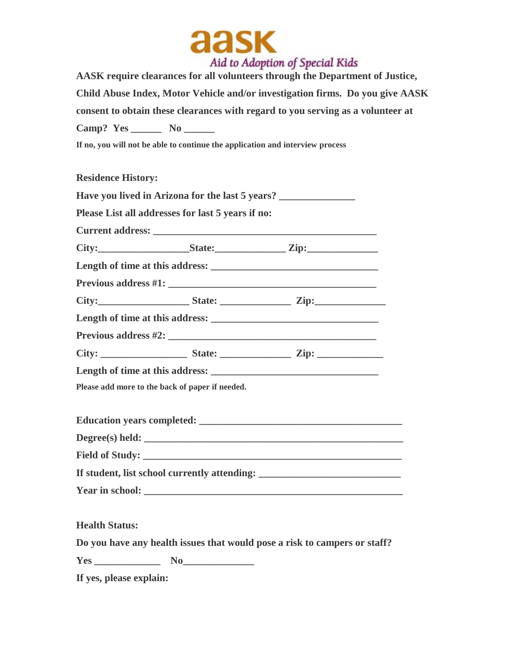

**AASK require clearances for all volunteers through the Department of Justice, Child Abuse Index, Motor Vehicle and/or investigation firms. Do you give AASK consent to obtain these clearances with regard to you serving as a volunteer at Camp? Yes \_\_\_\_\_\_ No \_\_\_\_\_\_**

**If no, you will not be able to continue the application and interview process**

**Residence History:**

|                       |                                                   | Have you lived in Arizona for the last 5 years? _________________________________ |
|-----------------------|---------------------------------------------------|-----------------------------------------------------------------------------------|
|                       | Please List all addresses for last 5 years if no: |                                                                                   |
|                       |                                                   |                                                                                   |
|                       |                                                   |                                                                                   |
|                       |                                                   |                                                                                   |
|                       |                                                   |                                                                                   |
|                       |                                                   |                                                                                   |
|                       |                                                   |                                                                                   |
|                       |                                                   |                                                                                   |
|                       |                                                   |                                                                                   |
|                       |                                                   |                                                                                   |
|                       | Please add more to the back of paper if needed.   |                                                                                   |
|                       |                                                   |                                                                                   |
|                       |                                                   | Degree(s) held:                                                                   |
|                       |                                                   |                                                                                   |
|                       |                                                   | If student, list school currently attending: ___________________________________  |
|                       |                                                   |                                                                                   |
| <b>Health Status:</b> |                                                   |                                                                                   |
|                       |                                                   | Do you have any health issues that would pose a risk to campers or staff?         |

**Yes \_\_\_\_\_\_\_\_\_\_\_\_\_ No\_\_\_\_\_\_\_\_\_\_\_\_\_\_**

**If yes, please explain:**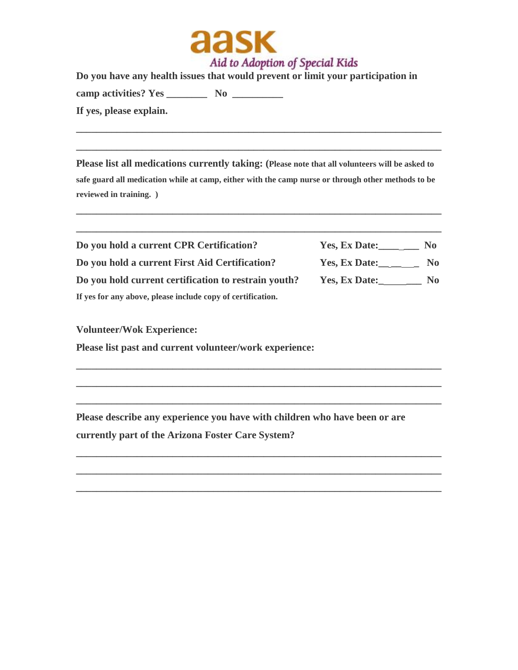

**Do you have any health issues that would prevent or limit your participation in camp activities? Yes \_\_\_\_\_\_\_\_ No \_\_\_\_\_\_\_\_\_\_ If yes, please explain.** 

**Please list all medications currently taking: (Please note that all volunteers will be asked to safe guard all medication while at camp, either with the camp nurse or through other methods to be reviewed in training. )**

**\_\_\_\_\_\_\_\_\_\_\_\_\_\_\_\_\_\_\_\_\_\_\_\_\_\_\_\_\_\_\_\_\_\_\_\_\_\_\_\_\_\_\_\_\_\_\_\_\_\_\_\_\_\_\_\_\_\_\_\_\_\_\_\_\_\_\_\_\_\_\_\_**

**\_\_\_\_\_\_\_\_\_\_\_\_\_\_\_\_\_\_\_\_\_\_\_\_\_\_\_\_\_\_\_\_\_\_\_\_\_\_\_\_\_\_\_\_\_\_\_\_\_\_\_\_\_\_\_\_\_\_\_\_\_\_\_\_\_\_\_\_\_\_\_\_**

**\_\_\_\_\_\_\_\_\_\_\_\_\_\_\_\_\_\_\_\_\_\_\_\_\_\_\_\_\_\_\_\_\_\_\_\_\_\_\_\_\_\_\_\_\_\_\_\_\_\_\_\_\_\_\_\_\_\_\_\_\_\_\_\_\_\_\_\_\_\_\_\_**

**\_\_\_\_\_\_\_\_\_\_\_\_\_\_\_\_\_\_\_\_\_\_\_\_\_\_\_\_\_\_\_\_\_\_\_\_\_\_\_\_\_\_\_\_\_\_\_\_\_\_\_\_\_\_\_\_\_\_\_\_\_\_\_\_\_\_\_\_\_\_\_\_**

| Do you hold a current CPR Certification?                    | Yes, Ex Date: | No. |
|-------------------------------------------------------------|---------------|-----|
| Do you hold a current First Aid Certification?              | Yes, Ex Date: | No. |
| Do you hold current certification to restrain youth?        | Yes, Ex Date: | No. |
| If yes for any above, please include copy of certification. |               |     |

**\_\_\_\_\_\_\_\_\_\_\_\_\_\_\_\_\_\_\_\_\_\_\_\_\_\_\_\_\_\_\_\_\_\_\_\_\_\_\_\_\_\_\_\_\_\_\_\_\_\_\_\_\_\_\_\_\_\_\_\_\_\_\_\_\_\_\_\_\_\_\_\_**

**\_\_\_\_\_\_\_\_\_\_\_\_\_\_\_\_\_\_\_\_\_\_\_\_\_\_\_\_\_\_\_\_\_\_\_\_\_\_\_\_\_\_\_\_\_\_\_\_\_\_\_\_\_\_\_\_\_\_\_\_\_\_\_\_\_\_\_\_\_\_\_\_**

**\_\_\_\_\_\_\_\_\_\_\_\_\_\_\_\_\_\_\_\_\_\_\_\_\_\_\_\_\_\_\_\_\_\_\_\_\_\_\_\_\_\_\_\_\_\_\_\_\_\_\_\_\_\_\_\_\_\_\_\_\_\_\_\_\_\_\_\_\_\_\_\_**

**\_\_\_\_\_\_\_\_\_\_\_\_\_\_\_\_\_\_\_\_\_\_\_\_\_\_\_\_\_\_\_\_\_\_\_\_\_\_\_\_\_\_\_\_\_\_\_\_\_\_\_\_\_\_\_\_\_\_\_\_\_\_\_\_\_\_\_\_\_\_\_\_**

**\_\_\_\_\_\_\_\_\_\_\_\_\_\_\_\_\_\_\_\_\_\_\_\_\_\_\_\_\_\_\_\_\_\_\_\_\_\_\_\_\_\_\_\_\_\_\_\_\_\_\_\_\_\_\_\_\_\_\_\_\_\_\_\_\_\_\_\_\_\_\_\_**

**\_\_\_\_\_\_\_\_\_\_\_\_\_\_\_\_\_\_\_\_\_\_\_\_\_\_\_\_\_\_\_\_\_\_\_\_\_\_\_\_\_\_\_\_\_\_\_\_\_\_\_\_\_\_\_\_\_\_\_\_\_\_\_\_\_\_\_\_\_\_\_\_**

**Volunteer/Wok Experience:**

**Please list past and current volunteer/work experience:**

**Please describe any experience you have with children who have been or are currently part of the Arizona Foster Care System?**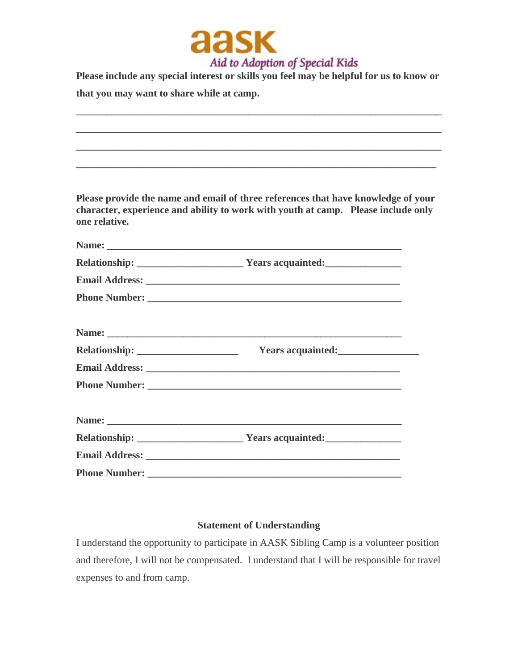

**Please include any special interest or skills you feel may be helpful for us to know or that you may want to share while at camp.** 

**\_\_\_\_\_\_\_\_\_\_\_\_\_\_\_\_\_\_\_\_\_\_\_\_\_\_\_\_\_\_\_\_\_\_\_\_\_\_\_\_\_\_\_\_\_\_\_\_\_\_\_\_\_\_\_\_\_\_\_\_\_\_\_\_\_\_\_\_\_\_\_\_**

**\_\_\_\_\_\_\_\_\_\_\_\_\_\_\_\_\_\_\_\_\_\_\_\_\_\_\_\_\_\_\_\_\_\_\_\_\_\_\_\_\_\_\_\_\_\_\_\_\_\_\_\_\_\_\_\_\_\_\_\_\_\_\_\_\_\_\_\_\_\_\_\_**

**\_\_\_\_\_\_\_\_\_\_\_\_\_\_\_\_\_\_\_\_\_\_\_\_\_\_\_\_\_\_\_\_\_\_\_\_\_\_\_\_\_\_\_\_\_\_\_\_\_\_\_\_\_\_\_\_\_\_\_\_\_\_\_\_\_\_\_\_\_\_\_\_**

**\_\_\_\_\_\_\_\_\_\_\_\_\_\_\_\_\_\_\_\_\_\_\_\_\_\_\_\_\_\_\_\_\_\_\_\_\_\_\_\_\_\_\_\_\_\_\_\_\_\_\_\_\_\_\_\_\_\_\_\_\_\_\_\_\_\_\_\_\_\_\_**

**Please provide the name and email of three references that have knowledge of your character, experience and ability to work with youth at camp. Please include only one relative.**

| Years acquainted: |  |
|-------------------|--|
|                   |  |
|                   |  |
|                   |  |
|                   |  |
|                   |  |
|                   |  |

## **Statement of Understanding**

I understand the opportunity to participate in AASK Sibling Camp is a volunteer position and therefore, I will not be compensated. I understand that I will be responsible for travel expenses to and from camp.